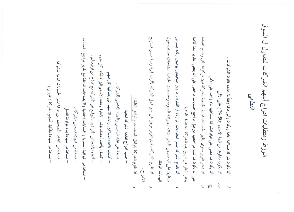شروط ومتطلبات ادراج أسهم الشركات للتداول في السوق النظامى

ان تكون شركة مساهمة عامة ويكون رأس مالها وفقاً لما يحدده قانون الشركات .  $\cdot$ 

ان يکون مدفوعاً من قيمة الأسهم (50 %) على الأقل .

 $\dot{\mathbf{J}}$ 

أن تنشر تقرير سنوى يظهر الحسابات المالية الحتامية للشركة تبين مركزها المالى ونتائج أعمالها أن يكون قد مضي على قيام الشركة بنشاطها عام واحد على الأقل .  $\dot{m}$ i

على أن تكون قد تمت مراجعتها من قبل مراجع حسابات مرخص على أن يغطى التقرير سنة كاملة

بغض النظر عن تاريخ بدء الشركة لنشاطاقا العادية .  $\bullet$ 

أن تلتنوم الشركة بنشر المعلومات الواردة في الفقرة ( د ) في صحيفتين يوميتين ولمدة يــــومين

متتاليين على أن يتضمن النشر اضافة للميزانية السنوية والحسابات الختامية ايضاحات حسابية حول

أن تلتنوم الشركة بارفاق المستندات والوثائق التالية :— – طلب ادراج تقدمه الشركة المعنية .

نسخة من الميزانية السنوية والحسابات الحنامية والايضاحات المرفقة مع تقرير مراجع الحسابات .

– نسخة من أعداد الصحف التي تم بما نشر الحسابات المالية للشركة .

– نسخة من شهادة بدء مزاولة العمل .

– نسخة من شهادة تسجيل الشركة .

– نسخة من شهادة ملكية أسهم الشركة ( نموزج ) .

- أسماء الأشخاص المفوضين بالنوقيع عن الشركة مع نماذج من توقيعاقم .

كشف بأسماء أعضاء مجلس الادارة وعدد الأسهم التي يتتلكها كل منهم

كشف باسماء المساهمين وعدد الأسهم التي يمتلكها كل منهم .

– نسخة عن عقد التأسيس والنظام الداخلي للشركة .

أن تلتنوم الشركة بتقديم تقرير موجز عن سبر عمل الشركة لأقرب فترة زمنية مـــن تـــاريخ  $-51/341$ 

 $\epsilon$ 

البيانات المرفقة .